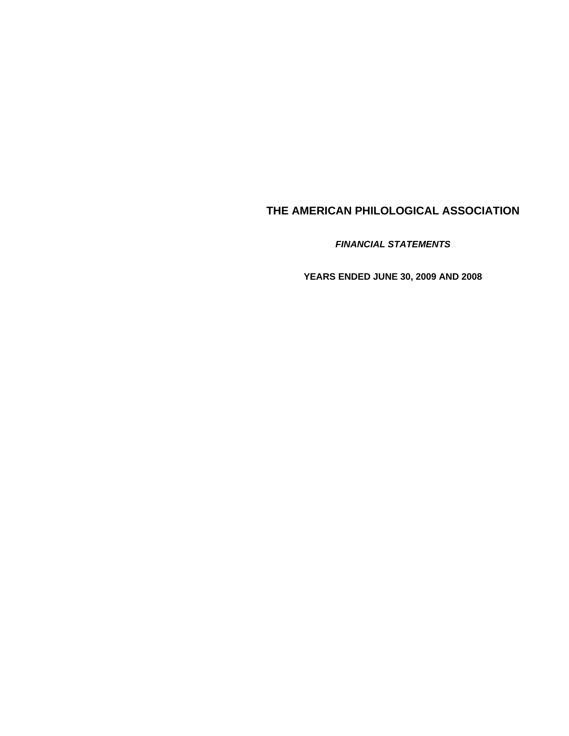*FINANCIAL STATEMENTS* 

**YEARS ENDED JUNE 30, 2009 AND 2008**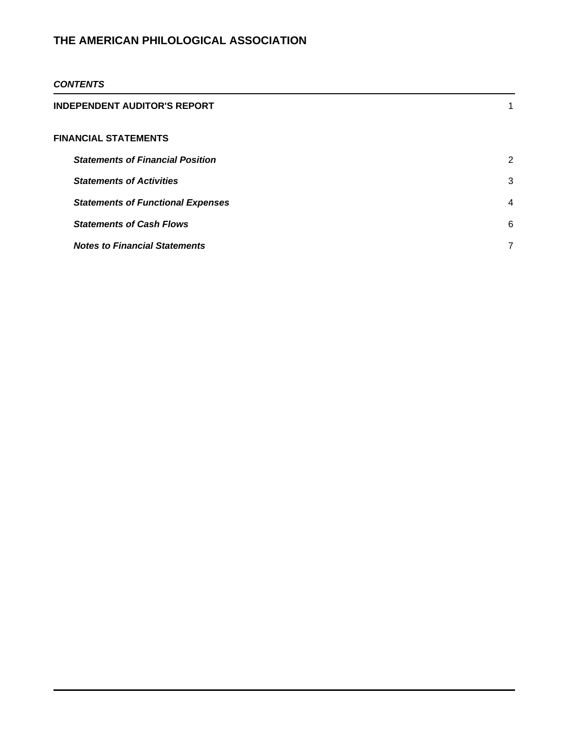### *CONTENTS*

| INDEPENDENT AUDITOR'S REPORT             |   |
|------------------------------------------|---|
| FINANCIAL STATEMENTS                     |   |
| <b>Statements of Financial Position</b>  | 2 |
| <b>Statements of Activities</b>          | 3 |
| <b>Statements of Functional Expenses</b> | 4 |
| <b>Statements of Cash Flows</b>          | 6 |
| <b>Notes to Financial Statements</b>     |   |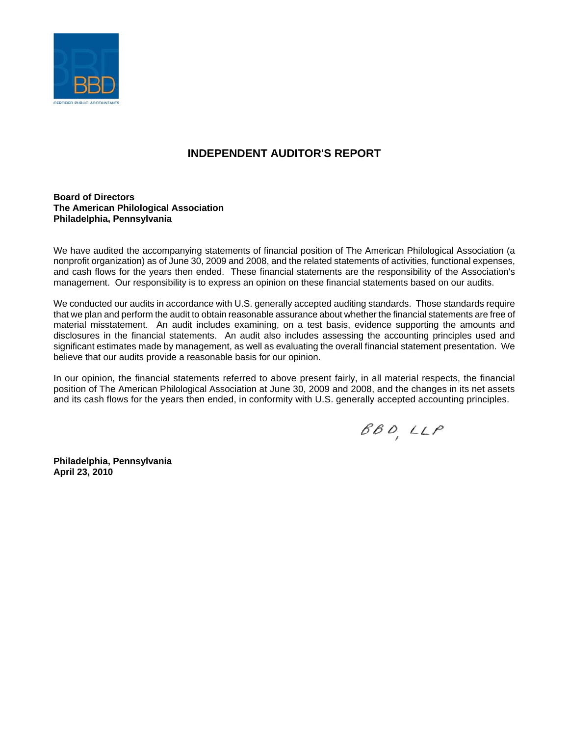

# **INDEPENDENT AUDITOR'S REPORT**

### **Board of Directors The American Philological Association Philadelphia, Pennsylvania**

We have audited the accompanying statements of financial position of The American Philological Association (a nonprofit organization) as of June 30, 2009 and 2008, and the related statements of activities, functional expenses, and cash flows for the years then ended. These financial statements are the responsibility of the Association's management. Our responsibility is to express an opinion on these financial statements based on our audits.

We conducted our audits in accordance with U.S. generally accepted auditing standards. Those standards require that we plan and perform the audit to obtain reasonable assurance about whether the financial statements are free of material misstatement. An audit includes examining, on a test basis, evidence supporting the amounts and disclosures in the financial statements. An audit also includes assessing the accounting principles used and significant estimates made by management, as well as evaluating the overall financial statement presentation. We believe that our audits provide a reasonable basis for our opinion.

In our opinion, the financial statements referred to above present fairly, in all material respects, the financial position of The American Philological Association at June 30, 2009 and 2008, and the changes in its net assets and its cash flows for the years then ended, in conformity with U.S. generally accepted accounting principles.

 $BB0, LLP$ 

**Philadelphia, Pennsylvania April 23, 2010**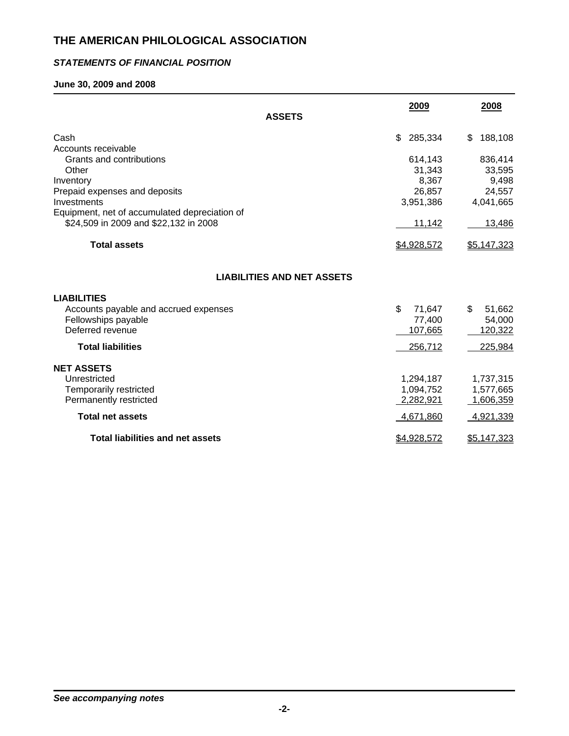## *STATEMENTS OF FINANCIAL POSITION*

## **June 30, 2009 and 2008**

| <b>ASSETS</b>                                                | 2009                   | 2008                   |
|--------------------------------------------------------------|------------------------|------------------------|
| Cash<br>Accounts receivable                                  | \$<br>285,334          | \$<br>188,108          |
| Grants and contributions<br>Other                            | 614,143<br>31,343      | 836,414<br>33,595      |
| Inventory<br>Prepaid expenses and deposits                   | 8,367<br>26,857        | 9,498<br>24,557        |
| Investments<br>Equipment, net of accumulated depreciation of | 3,951,386              | 4,041,665              |
| \$24,509 in 2009 and \$22,132 in 2008                        | 11,142                 | 13,486                 |
| <b>Total assets</b>                                          | \$4,928,572            | \$5,147,323            |
| <b>LIABILITIES AND NET ASSETS</b>                            |                        |                        |
| <b>LIABILITIES</b>                                           |                        |                        |
| Accounts payable and accrued expenses<br>Fellowships payable | \$<br>71,647<br>77,400 | \$<br>51,662<br>54,000 |
| Deferred revenue                                             | 107,665                | 120,322                |
| <b>Total liabilities</b>                                     | 256,712                | 225,984                |
| <b>NET ASSETS</b>                                            |                        |                        |
| Unrestricted                                                 | 1,294,187              | 1,737,315              |
| <b>Temporarily restricted</b><br>Permanently restricted      | 1,094,752<br>2,282,921 | 1,577,665<br>1,606,359 |
| <b>Total net assets</b>                                      | 4,671,860              | 4,921,339              |
| <b>Total liabilities and net assets</b>                      | \$4,928,572            | <u>\$5,147,323</u>     |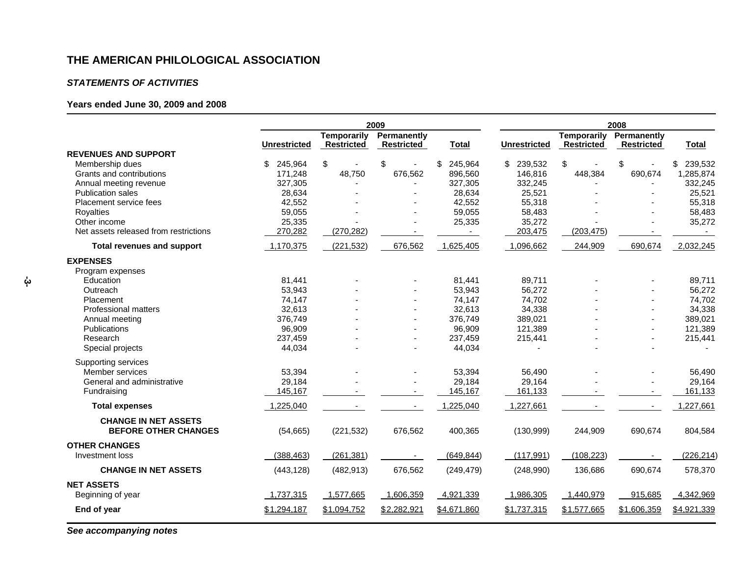#### *STATEMENTS OF ACTIVITIES*

## **Years ended June 30, 2009 and 2008**

|                                                            | 2009          |                                         |                                  | 2008          |                     |                                         |                                  |               |
|------------------------------------------------------------|---------------|-----------------------------------------|----------------------------------|---------------|---------------------|-----------------------------------------|----------------------------------|---------------|
|                                                            | Unrestricted  | <b>Temporarily</b><br><b>Restricted</b> | Permanently<br><b>Restricted</b> | <b>Total</b>  | <b>Unrestricted</b> | <b>Temporarily</b><br><b>Restricted</b> | Permanently<br><b>Restricted</b> | <b>Total</b>  |
| <b>REVENUES AND SUPPORT</b>                                |               |                                         |                                  |               |                     |                                         |                                  |               |
| Membership dues                                            | \$<br>245,964 | \$                                      | \$                               | \$<br>245,964 | 239,532<br>\$       | \$                                      | \$                               | 239,532<br>\$ |
| Grants and contributions                                   | 171,248       | 48,750                                  | 676,562                          | 896,560       | 146,816             | 448,384                                 | 690,674                          | 1,285,874     |
| Annual meeting revenue                                     | 327,305       | $\overline{\phantom{a}}$                |                                  | 327,305       | 332,245             |                                         |                                  | 332,245       |
| <b>Publication sales</b>                                   | 28,634        |                                         |                                  | 28,634        | 25,521              |                                         |                                  | 25,521        |
| Placement service fees                                     | 42,552        |                                         |                                  | 42,552        | 55,318              |                                         |                                  | 55,318        |
| Royalties                                                  | 59,055        |                                         |                                  | 59,055        | 58,483              |                                         |                                  | 58,483        |
| Other income                                               | 25,335        |                                         |                                  | 25,335        | 35,272              |                                         |                                  | 35,272        |
| Net assets released from restrictions                      | 270,282       | (270, 282)                              |                                  |               | 203,475             | (203, 475)                              |                                  |               |
| <b>Total revenues and support</b>                          | 1,170,375     | (221, 532)                              | 676,562                          | 1,625,405     | 1,096,662           | 244,909                                 | 690,674                          | 2,032,245     |
| <b>EXPENSES</b>                                            |               |                                         |                                  |               |                     |                                         |                                  |               |
| Program expenses                                           |               |                                         |                                  |               |                     |                                         |                                  |               |
| Education                                                  | 81,441        |                                         |                                  | 81,441        | 89,711              |                                         |                                  | 89,711        |
| Outreach                                                   | 53,943        |                                         |                                  | 53,943        | 56,272              |                                         |                                  | 56,272        |
| Placement                                                  | 74,147        |                                         |                                  | 74,147        | 74,702              |                                         |                                  | 74,702        |
| <b>Professional matters</b>                                | 32,613        |                                         |                                  | 32,613        | 34,338              |                                         |                                  | 34,338        |
| Annual meeting                                             | 376,749       |                                         |                                  | 376,749       | 389,021             |                                         |                                  | 389,021       |
| <b>Publications</b>                                        | 96,909        |                                         |                                  | 96,909        | 121,389             |                                         |                                  | 121,389       |
| Research                                                   | 237,459       |                                         |                                  | 237,459       | 215,441             |                                         |                                  | 215,441       |
| Special projects                                           | 44,034        |                                         |                                  | 44,034        |                     |                                         |                                  |               |
| Supporting services                                        |               |                                         |                                  |               |                     |                                         |                                  |               |
| Member services                                            | 53,394        |                                         |                                  | 53,394        | 56,490              |                                         |                                  | 56,490        |
| General and administrative                                 | 29,184        |                                         |                                  | 29,184        | 29,164              |                                         |                                  | 29,164        |
| Fundraising                                                | 145,167       |                                         |                                  | 145,167       | 161,133             |                                         |                                  | 161,133       |
| <b>Total expenses</b>                                      | 1,225,040     |                                         |                                  | 1,225,040     | 1,227,661           |                                         |                                  | 1,227,661     |
| <b>CHANGE IN NET ASSETS</b><br><b>BEFORE OTHER CHANGES</b> | (54,665)      | (221, 532)                              | 676,562                          | 400,365       | (130, 999)          | 244,909                                 | 690,674                          | 804,584       |
| <b>OTHER CHANGES</b>                                       |               |                                         |                                  |               |                     |                                         |                                  |               |
| Investment loss                                            | (388, 463)    | (261, 381)                              |                                  | (649, 844)    | (117, 991)          | (108, 223)                              |                                  | (226, 214)    |
| <b>CHANGE IN NET ASSETS</b>                                | (443, 128)    | (482, 913)                              | 676,562                          | (249, 479)    | (248,990)           | 136,686                                 | 690,674                          | 578,370       |
| <b>NET ASSETS</b>                                          |               |                                         |                                  |               |                     |                                         |                                  |               |
| Beginning of year                                          | 1,737,315     | 1,577,665                               | 1,606,359                        | 4,921,339     | 1,986,305           | 1,440,979                               | 915,685                          | 4,342,969     |
| End of year                                                | \$1,294,187   | \$1,094,752                             | \$2,282,921                      | \$4,671,860   | \$1,737,315         | \$1,577,665                             | \$1,606,359                      | \$4,921,339   |
|                                                            |               |                                         |                                  |               |                     |                                         |                                  |               |

*See accompanying notes*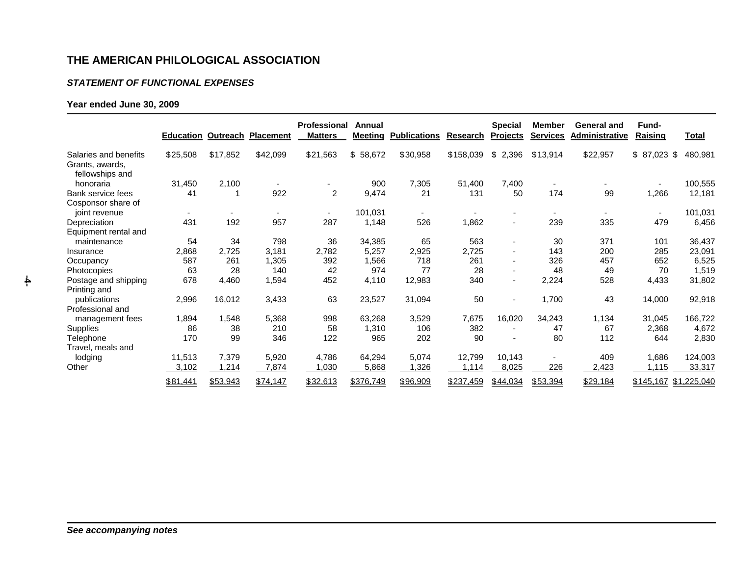#### *STATEMENT OF FUNCTIONAL EXPENSES*

## **Year ended June 30, 2009**

|                                                             |                          |          | <b>Education Outreach Placement</b> | Professional<br><b>Matters</b> | Annual<br>Meeting | <b>Publications</b> | <b>Research</b> | <b>Special</b><br><b>Projects</b> | <b>Member</b><br><b>Services</b> | <b>General and</b><br>Administrative | Fund-<br>Raising         | <u>Total</u> |
|-------------------------------------------------------------|--------------------------|----------|-------------------------------------|--------------------------------|-------------------|---------------------|-----------------|-----------------------------------|----------------------------------|--------------------------------------|--------------------------|--------------|
| Salaries and benefits<br>Grants, awards,<br>fellowships and | \$25,508                 | \$17,852 | \$42,099                            | \$21,563                       | \$58,672          | \$30,958            | \$158,039       | \$<br>2,396                       | \$13,914                         | \$22,957                             | \$<br>87,023 \$          | 480,981      |
| honoraria                                                   | 31,450                   | 2,100    |                                     |                                | 900               | 7,305               | 51,400          | 7,400                             |                                  |                                      | $\overline{\phantom{0}}$ | 100,555      |
| Bank service fees<br>Cosponsor share of                     | 41                       |          | 922                                 | $\overline{2}$                 | 9,474             | 21                  | 131             | 50                                | 174                              | 99                                   | 1,266                    | 12,181       |
| joint revenue                                               | $\overline{\phantom{a}}$ |          |                                     | $\sim$                         | 101,031           |                     |                 | $\overline{\phantom{a}}$          | $\overline{\phantom{a}}$         |                                      | ۰.                       | 101,031      |
| Depreciation                                                | 431                      | 192      | 957                                 | 287                            | 1,148             | 526                 | 1,862           | $\blacksquare$                    | 239                              | 335                                  | 479                      | 6,456        |
| Equipment rental and                                        |                          |          |                                     |                                |                   |                     |                 |                                   |                                  |                                      |                          |              |
| maintenance                                                 | 54                       | 34       | 798                                 | 36                             | 34,385            | 65                  | 563             | $\blacksquare$                    | 30                               | 371                                  | 101                      | 36,437       |
| Insurance                                                   | 2,868                    | 2,725    | 3,181                               | 2,782                          | 5,257             | 2,925               | 2,725           | $\blacksquare$                    | 143                              | 200                                  | 285                      | 23,091       |
| Occupancy                                                   | 587                      | 261      | 1,305                               | 392                            | 1,566             | 718                 | 261             | $\blacksquare$                    | 326                              | 457                                  | 652                      | 6,525        |
| Photocopies                                                 | 63                       | 28       | 140                                 | 42                             | 974               | 77                  | 28              | $\blacksquare$                    | 48                               | 49                                   | 70                       | 1,519        |
| Postage and shipping<br>Printing and                        | 678                      | 4,460    | 1,594                               | 452                            | 4,110             | 12,983              | 340             | $\blacksquare$                    | 2,224                            | 528                                  | 4,433                    | 31,802       |
| publications                                                | 2,996                    | 16,012   | 3,433                               | 63                             | 23,527            | 31,094              | 50              | $\blacksquare$                    | 1,700                            | 43                                   | 14,000                   | 92,918       |
| Professional and                                            |                          |          |                                     |                                |                   |                     |                 |                                   |                                  |                                      |                          |              |
| management fees                                             | 1,894                    | 1,548    | 5,368                               | 998                            | 63,268            | 3,529               | 7,675           | 16,020                            | 34,243                           | 1,134                                | 31,045                   | 166,722      |
| <b>Supplies</b>                                             | 86                       | 38       | 210                                 | 58                             | 1,310             | 106                 | 382             |                                   | 47                               | 67                                   | 2,368                    | 4,672        |
| Telephone                                                   | 170                      | 99       | 346                                 | 122                            | 965               | 202                 | 90              | $\blacksquare$                    | 80                               | 112                                  | 644                      | 2,830        |
| Travel, meals and                                           |                          |          |                                     |                                |                   |                     |                 |                                   |                                  |                                      |                          |              |
| lodging                                                     | 11,513                   | 7,379    | 5,920                               | 4,786                          | 64,294            | 5,074               | 12,799          | 10,143                            |                                  | 409                                  | 1,686                    | 124,003      |
| Other                                                       | 3,102                    | 1,214    | 7,874                               | 0.030                          | 5,868             | 1,326               | 1,114           | 8,025                             | 226                              | 2,423                                | 1,115                    | 33,317       |
|                                                             | \$81,441                 | \$53,943 | \$74,147                            | \$32,613                       | \$376,749         | \$96,909            | \$237,459       | \$44,034                          | \$53,394                         | \$29,184                             | \$145,167 \$1,225,040    |              |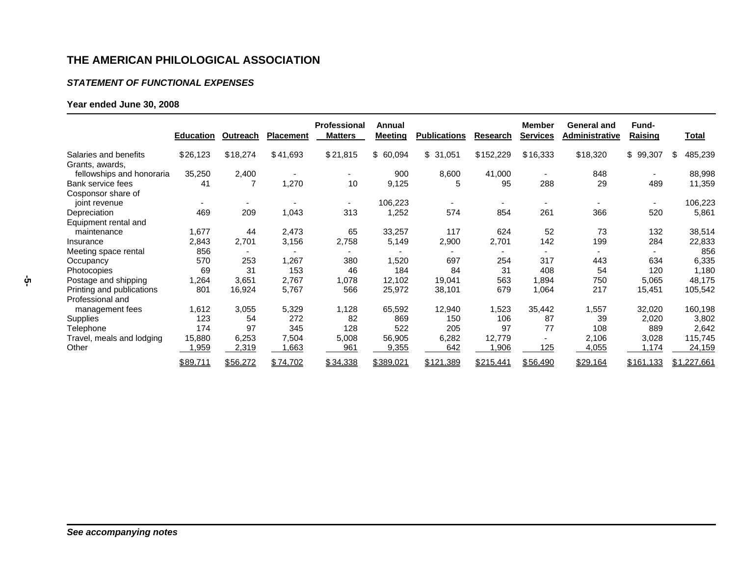#### *STATEMENT OF FUNCTIONAL EXPENSES*

## **Year ended June 30, 2008**

|                           | <b>Education</b> | Outreach                 | <b>Placement</b>         | <b>Professional</b><br><b>Matters</b> | Annual<br><b>Meeting</b> | <b>Publications</b> | Research                 | <b>Member</b><br><b>Services</b> | <b>General and</b><br>Administrative | Fund-<br>Raising         | <u>Total</u>  |
|---------------------------|------------------|--------------------------|--------------------------|---------------------------------------|--------------------------|---------------------|--------------------------|----------------------------------|--------------------------------------|--------------------------|---------------|
| Salaries and benefits     | \$26,123         | \$18,274                 | \$41,693                 | \$21,815                              | \$60,094                 | \$31,051            | \$152,229                | \$16,333                         | \$18,320                             | \$99,307                 | 485,239<br>\$ |
| Grants, awards,           |                  |                          |                          |                                       |                          |                     |                          |                                  |                                      |                          |               |
| fellowships and honoraria | 35,250           | 2,400                    | $\overline{\phantom{a}}$ | $\overline{\phantom{a}}$              | 900                      | 8,600               | 41,000                   | $\overline{\phantom{0}}$         | 848                                  | $\overline{\phantom{a}}$ | 88,998        |
| Bank service fees         | 41               | 7                        | 1,270                    | 10                                    | 9,125                    | 5                   | 95                       | 288                              | 29                                   | 489                      | 11,359        |
| Cosponsor share of        |                  |                          |                          |                                       |                          |                     |                          |                                  |                                      |                          |               |
| joint revenue             |                  |                          |                          |                                       | 106,223                  |                     |                          |                                  |                                      |                          | 106,223       |
| Depreciation              | 469              | 209                      | 1,043                    | 313                                   | 1,252                    | 574                 | 854                      | 261                              | 366                                  | 520                      | 5,861         |
| Equipment rental and      |                  |                          |                          |                                       |                          |                     |                          |                                  |                                      |                          |               |
| maintenance               | 1,677            | 44                       | 2,473                    | 65                                    | 33,257                   | 117                 | 624                      | 52                               | 73                                   | 132                      | 38,514        |
| Insurance                 | 2,843            | 2,701                    | 3,156                    | 2,758                                 | 5,149                    | 2,900               | 2,701                    | 142                              | 199                                  | 284                      | 22,833        |
| Meeting space rental      | 856              | $\overline{\phantom{0}}$ | -                        |                                       |                          | ۰                   | $\overline{\phantom{0}}$ | $\overline{\phantom{0}}$         |                                      |                          | 856           |
| Occupancy                 | 570              | 253                      | 1,267                    | 380                                   | 1,520                    | 697                 | 254                      | 317                              | 443                                  | 634                      | 6,335         |
| Photocopies               | 69               | 31                       | 153                      | 46                                    | 184                      | 84                  | 31                       | 408                              | 54                                   | 120                      | 1,180         |
| Postage and shipping      | 1,264            | 3,651                    | 2,767                    | 1,078                                 | 12.102                   | 19,041              | 563                      | 1,894                            | 750                                  | 5,065                    | 48,175        |
| Printing and publications | 801              | 16,924                   | 5,767                    | 566                                   | 25,972                   | 38,101              | 679                      | 1,064                            | 217                                  | 15,451                   | 105,542       |
| Professional and          |                  |                          |                          |                                       |                          |                     |                          |                                  |                                      |                          |               |
| management fees           | 1,612            | 3,055                    | 5,329                    | 1,128                                 | 65,592                   | 12,940              | 1,523                    | 35,442                           | 1,557                                | 32,020                   | 160,198       |
| Supplies                  | 123              | 54                       | 272                      | 82                                    | 869                      | 150                 | 106                      | 87                               | 39                                   | 2,020                    | 3,802         |
| Telephone                 | 174              | 97                       | 345                      | 128                                   | 522                      | 205                 | 97                       | 77                               | 108                                  | 889                      | 2,642         |
| Travel, meals and lodging | 15,880           | 6,253                    | 7,504                    | 5,008                                 | 56,905                   | 6,282               | 12,779                   |                                  | 2,106                                | 3,028                    | 115,745       |
| Other                     | 1,959            | 2,319                    | ,663                     | 961                                   | 9,355                    | 642                 | ,906                     | 125                              | 4,055                                | 1,174                    | 24,159        |
|                           | \$89,711         | \$56,272                 | \$74,702                 | \$34,338                              | \$389,021                | \$121,389           | \$215,441                | \$56,490                         | \$29,164                             | \$161,133                | \$1,227,661   |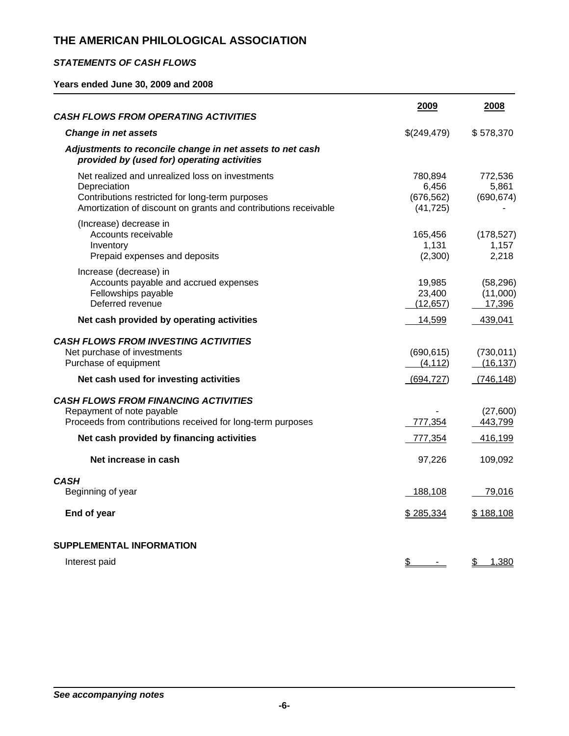## *STATEMENTS OF CASH FLOWS*

**Years ended June 30, 2009 and 2008** 

| <b>CASH FLOWS FROM OPERATING ACTIVITIES</b>                                                                                                                                           | 2009                                        | 2008                            |
|---------------------------------------------------------------------------------------------------------------------------------------------------------------------------------------|---------------------------------------------|---------------------------------|
| <b>Change in net assets</b>                                                                                                                                                           | \$(249,479)                                 | \$578,370                       |
| Adjustments to reconcile change in net assets to net cash<br>provided by (used for) operating activities                                                                              |                                             |                                 |
| Net realized and unrealized loss on investments<br>Depreciation<br>Contributions restricted for long-term purposes<br>Amortization of discount on grants and contributions receivable | 780,894<br>6,456<br>(676, 562)<br>(41, 725) | 772,536<br>5,861<br>(690, 674)  |
| (Increase) decrease in<br>Accounts receivable<br>Inventory<br>Prepaid expenses and deposits                                                                                           | 165,456<br>1,131<br>(2,300)                 | (178, 527)<br>1,157<br>2,218    |
| Increase (decrease) in<br>Accounts payable and accrued expenses<br>Fellowships payable<br>Deferred revenue                                                                            | 19,985<br>23,400<br>(12, 657)               | (58, 296)<br>(11,000)<br>17,396 |
| Net cash provided by operating activities                                                                                                                                             | 14,599                                      | 439,041                         |
| <b>CASH FLOWS FROM INVESTING ACTIVITIES</b><br>Net purchase of investments<br>Purchase of equipment                                                                                   | (690, 615)<br>(4, 112)                      | (730, 011)<br>(16, 137)         |
| Net cash used for investing activities                                                                                                                                                | (694, 727)                                  | (746,148)                       |
| <b>CASH FLOWS FROM FINANCING ACTIVITIES</b><br>Repayment of note payable<br>Proceeds from contributions received for long-term purposes                                               | 777,354                                     | (27,600)<br>443,799             |
| Net cash provided by financing activities                                                                                                                                             | 777,354                                     | 416,199                         |
| Net increase in cash                                                                                                                                                                  | 97,226                                      | 109,092                         |
| <b>CASH</b><br>Beginning of year                                                                                                                                                      | 188,108                                     | 79,016                          |
| End of year                                                                                                                                                                           | \$285,334                                   | \$188,108                       |
| <b>SUPPLEMENTAL INFORMATION</b>                                                                                                                                                       |                                             |                                 |
| Interest paid                                                                                                                                                                         | \$                                          | 1,380<br>\$                     |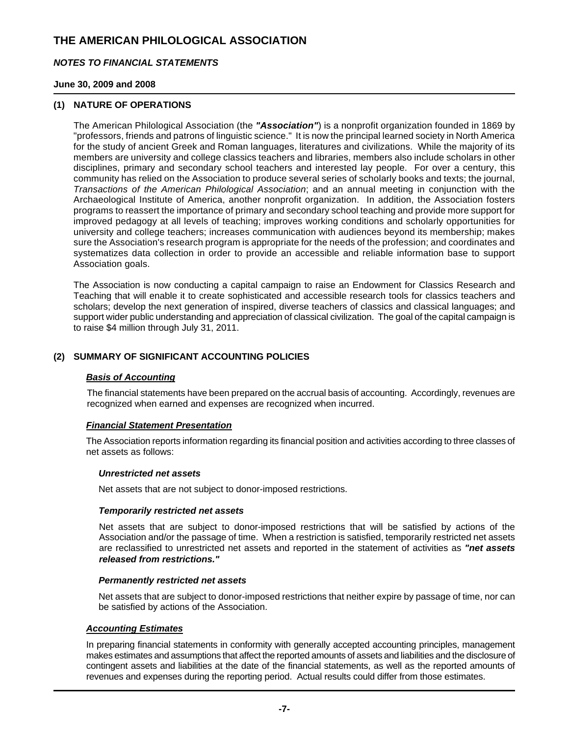### *NOTES TO FINANCIAL STATEMENTS*

### **June 30, 2009 and 2008**

### **(1) NATURE OF OPERATIONS**

The American Philological Association (the *"Association"*) is a nonprofit organization founded in 1869 by "professors, friends and patrons of linguistic science." It is now the principal learned society in North America for the study of ancient Greek and Roman languages, literatures and civilizations. While the majority of its members are university and college classics teachers and libraries, members also include scholars in other disciplines, primary and secondary school teachers and interested lay people. For over a century, this community has relied on the Association to produce several series of scholarly books and texts; the journal, *Transactions of the American Philological Association*; and an annual meeting in conjunction with the Archaeological Institute of America, another nonprofit organization. In addition, the Association fosters programs to reassert the importance of primary and secondary school teaching and provide more support for improved pedagogy at all levels of teaching; improves working conditions and scholarly opportunities for university and college teachers; increases communication with audiences beyond its membership; makes sure the Association's research program is appropriate for the needs of the profession; and coordinates and systematizes data collection in order to provide an accessible and reliable information base to support Association goals.

The Association is now conducting a capital campaign to raise an Endowment for Classics Research and Teaching that will enable it to create sophisticated and accessible research tools for classics teachers and scholars; develop the next generation of inspired, diverse teachers of classics and classical languages; and support wider public understanding and appreciation of classical civilization. The goal of the capital campaign is to raise \$4 million through July 31, 2011.

### **(2) SUMMARY OF SIGNIFICANT ACCOUNTING POLICIES**

### *Basis of Accounting*

The financial statements have been prepared on the accrual basis of accounting. Accordingly, revenues are recognized when earned and expenses are recognized when incurred.

### *Financial Statement Presentation*

The Association reports information regarding its financial position and activities according to three classes of net assets as follows:

#### *Unrestricted net assets*

Net assets that are not subject to donor-imposed restrictions.

### *Temporarily restricted net assets*

Net assets that are subject to donor-imposed restrictions that will be satisfied by actions of the Association and/or the passage of time. When a restriction is satisfied, temporarily restricted net assets are reclassified to unrestricted net assets and reported in the statement of activities as *"net assets released from restrictions."*

#### *Permanently restricted net assets*

Net assets that are subject to donor-imposed restrictions that neither expire by passage of time, nor can be satisfied by actions of the Association.

#### *Accounting Estimates*

In preparing financial statements in conformity with generally accepted accounting principles, management makes estimates and assumptions that affect the reported amounts of assets and liabilities and the disclosure of contingent assets and liabilities at the date of the financial statements, as well as the reported amounts of revenues and expenses during the reporting period. Actual results could differ from those estimates.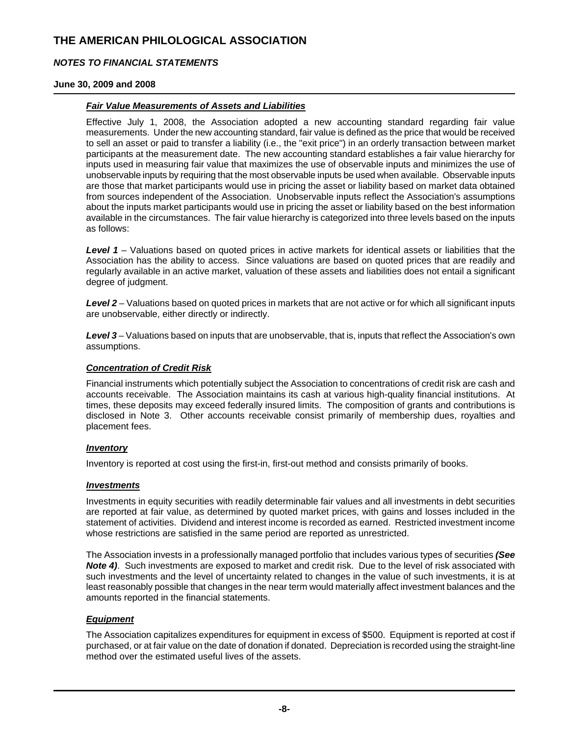### *NOTES TO FINANCIAL STATEMENTS*

#### **June 30, 2009 and 2008**

### *Fair Value Measurements of Assets and Liabilities*

Effective July 1, 2008, the Association adopted a new accounting standard regarding fair value measurements. Under the new accounting standard, fair value is defined as the price that would be received to sell an asset or paid to transfer a liability (i.e., the "exit price") in an orderly transaction between market participants at the measurement date. The new accounting standard establishes a fair value hierarchy for inputs used in measuring fair value that maximizes the use of observable inputs and minimizes the use of unobservable inputs by requiring that the most observable inputs be used when available. Observable inputs are those that market participants would use in pricing the asset or liability based on market data obtained from sources independent of the Association. Unobservable inputs reflect the Association's assumptions about the inputs market participants would use in pricing the asset or liability based on the best information available in the circumstances. The fair value hierarchy is categorized into three levels based on the inputs as follows:

*Level 1* – Valuations based on quoted prices in active markets for identical assets or liabilities that the Association has the ability to access. Since valuations are based on quoted prices that are readily and regularly available in an active market, valuation of these assets and liabilities does not entail a significant degree of judgment.

*Level 2* – Valuations based on quoted prices in markets that are not active or for which all significant inputs are unobservable, either directly or indirectly.

*Level 3* – Valuations based on inputs that are unobservable, that is, inputs that reflect the Association's own assumptions.

### *Concentration of Credit Risk*

Financial instruments which potentially subject the Association to concentrations of credit risk are cash and accounts receivable. The Association maintains its cash at various high-quality financial institutions. At times, these deposits may exceed federally insured limits. The composition of grants and contributions is disclosed in Note 3. Other accounts receivable consist primarily of membership dues, royalties and placement fees.

### *Inventory*

Inventory is reported at cost using the first-in, first-out method and consists primarily of books.

### *Investments*

Investments in equity securities with readily determinable fair values and all investments in debt securities are reported at fair value, as determined by quoted market prices, with gains and losses included in the statement of activities. Dividend and interest income is recorded as earned. Restricted investment income whose restrictions are satisfied in the same period are reported as unrestricted.

The Association invests in a professionally managed portfolio that includes various types of securities *(See Note 4)*. Such investments are exposed to market and credit risk. Due to the level of risk associated with such investments and the level of uncertainty related to changes in the value of such investments, it is at least reasonably possible that changes in the near term would materially affect investment balances and the amounts reported in the financial statements.

### *Equipment*

The Association capitalizes expenditures for equipment in excess of \$500. Equipment is reported at cost if purchased, or at fair value on the date of donation if donated. Depreciation is recorded using the straight-line method over the estimated useful lives of the assets.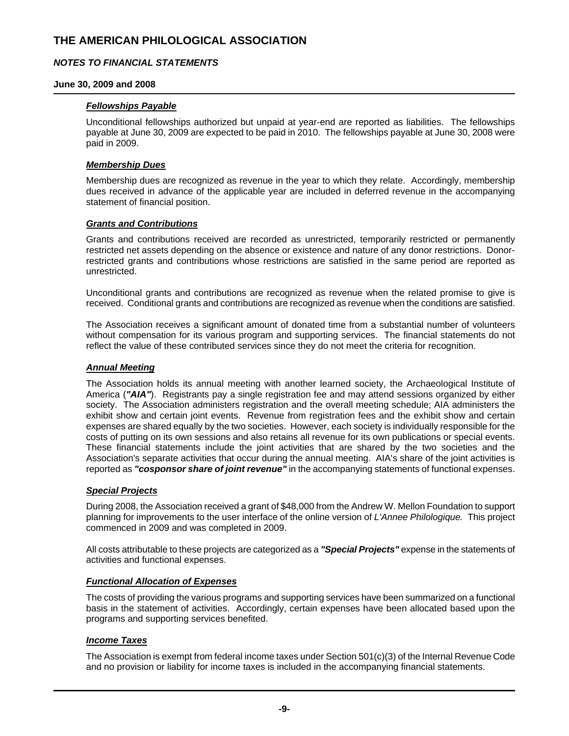### *NOTES TO FINANCIAL STATEMENTS*

### **June 30, 2009 and 2008**

### *Fellowships Payable*

Unconditional fellowships authorized but unpaid at year-end are reported as liabilities. The fellowships payable at June 30, 2009 are expected to be paid in 2010. The fellowships payable at June 30, 2008 were paid in 2009.

#### *Membership Dues*

Membership dues are recognized as revenue in the year to which they relate. Accordingly, membership dues received in advance of the applicable year are included in deferred revenue in the accompanying statement of financial position.

### *Grants and Contributions*

Grants and contributions received are recorded as unrestricted, temporarily restricted or permanently restricted net assets depending on the absence or existence and nature of any donor restrictions. Donorrestricted grants and contributions whose restrictions are satisfied in the same period are reported as unrestricted.

Unconditional grants and contributions are recognized as revenue when the related promise to give is received. Conditional grants and contributions are recognized as revenue when the conditions are satisfied.

The Association receives a significant amount of donated time from a substantial number of volunteers without compensation for its various program and supporting services. The financial statements do not reflect the value of these contributed services since they do not meet the criteria for recognition.

### *Annual Meeting*

The Association holds its annual meeting with another learned society, the Archaeological Institute of America (*"AIA"*). Registrants pay a single registration fee and may attend sessions organized by either society. The Association administers registration and the overall meeting schedule; AIA administers the exhibit show and certain joint events. Revenue from registration fees and the exhibit show and certain expenses are shared equally by the two societies. However, each society is individually responsible for the costs of putting on its own sessions and also retains all revenue for its own publications or special events. These financial statements include the joint activities that are shared by the two societies and the Association's separate activities that occur during the annual meeting. AIA's share of the joint activities is reported as *"cosponsor share of joint revenue"* in the accompanying statements of functional expenses.

### *Special Projects*

During 2008, the Association received a grant of \$48,000 from the Andrew W. Mellon Foundation to support planning for improvements to the user interface of the online version of *L'Annee Philologique.* This project commenced in 2009 and was completed in 2009.

All costs attributable to these projects are categorized as a *"Special Projects"* expense in the statements of activities and functional expenses.

#### *Functional Allocation of Expenses*

The costs of providing the various programs and supporting services have been summarized on a functional basis in the statement of activities. Accordingly, certain expenses have been allocated based upon the programs and supporting services benefited.

### *Income Taxes*

The Association is exempt from federal income taxes under Section 501(c)(3) of the Internal Revenue Code and no provision or liability for income taxes is included in the accompanying financial statements.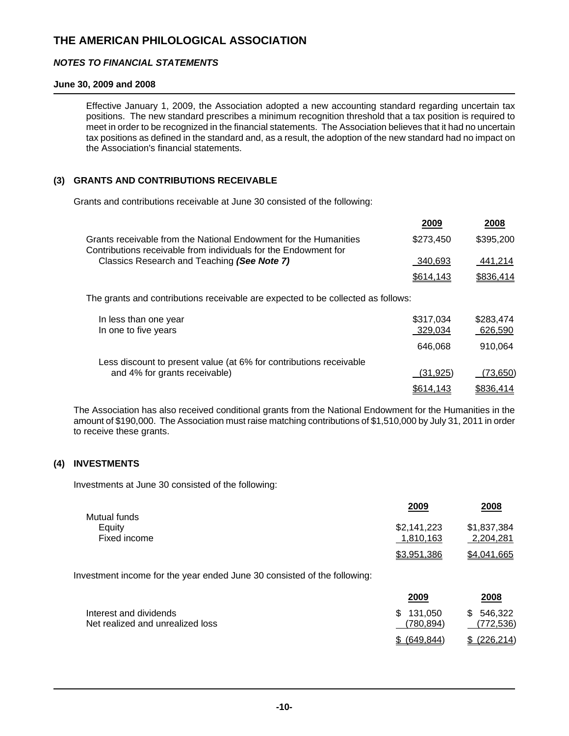### *NOTES TO FINANCIAL STATEMENTS*

### **June 30, 2009 and 2008**

Effective January 1, 2009, the Association adopted a new accounting standard regarding uncertain tax positions. The new standard prescribes a minimum recognition threshold that a tax position is required to meet in order to be recognized in the financial statements. The Association believes that it had no uncertain tax positions as defined in the standard and, as a result, the adoption of the new standard had no impact on the Association's financial statements.

## **(3) GRANTS AND CONTRIBUTIONS RECEIVABLE**

Grants and contributions receivable at June 30 consisted of the following:

|                                                                                                                                     | 2009      | 2008      |
|-------------------------------------------------------------------------------------------------------------------------------------|-----------|-----------|
| Grants receivable from the National Endowment for the Humanities<br>Contributions receivable from individuals for the Endowment for | \$273,450 | \$395,200 |
| Classics Research and Teaching (See Note 7)                                                                                         | 340,693   | 441,214   |
|                                                                                                                                     | \$614,143 | \$836,414 |
| The grants and contributions receivable are expected to be collected as follows:                                                    |           |           |
| In less than one year                                                                                                               | \$317.034 | \$283,474 |
| In one to five years                                                                                                                | 329,034   | 626,590   |
|                                                                                                                                     | 646.068   | 910.064   |
| Less discount to present value (at 6% for contributions receivable                                                                  |           |           |
| and 4% for grants receivable)                                                                                                       | (31, 925) | (73, 650) |
|                                                                                                                                     | \$614.143 | \$836.414 |

The Association has also received conditional grants from the National Endowment for the Humanities in the amount of \$190,000. The Association must raise matching contributions of \$1,510,000 by July 31, 2011 in order to receive these grants.

### **(4) INVESTMENTS**

Investments at June 30 consisted of the following:

|                        | 2009        | 2008        |
|------------------------|-------------|-------------|
| Mutual funds<br>Equity | \$2,141,223 | \$1,837,384 |
| Fixed income           | 1.810.163   | 2.204.281   |
|                        | \$3,951,386 | \$4,041,665 |

Investment income for the year ended June 30 consisted of the following:

|                                                            | 2009                   | 2008                         |
|------------------------------------------------------------|------------------------|------------------------------|
| Interest and dividends<br>Net realized and unrealized loss | \$131.050<br>(780.894) | 546.322<br>\$.<br>(772, 536) |
|                                                            | \$ (649.844)           | \$ (226.214)                 |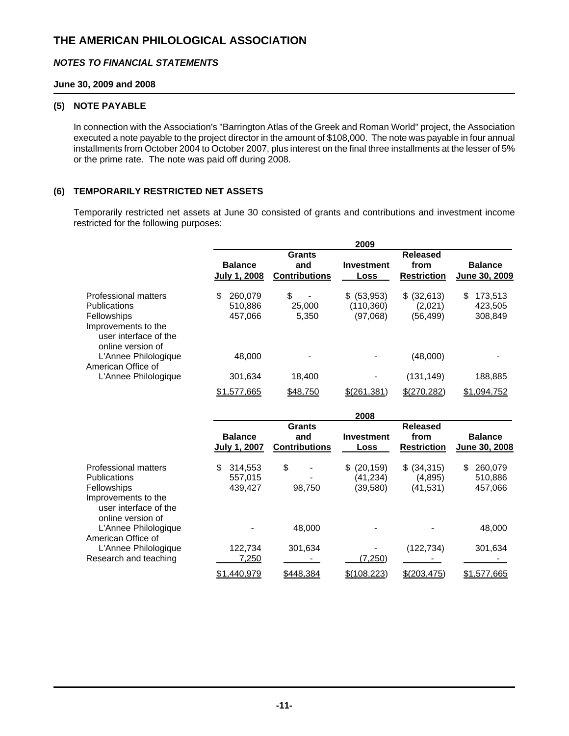### *NOTES TO FINANCIAL STATEMENTS*

### **June 30, 2009 and 2008**

#### **(5) NOTE PAYABLE**

In connection with the Association's "Barrington Atlas of the Greek and Roman World" project, the Association executed a note payable to the project director in the amount of \$108,000. The note was payable in four annual installments from October 2004 to October 2007, plus interest on the final three installments at the lesser of 5% or the prime rate. The note was paid off during 2008.

### **(6) TEMPORARILY RESTRICTED NET ASSETS**

Temporarily restricted net assets at June 30 consisted of grants and contributions and investment income restricted for the following purposes:

|                                                                                  |                                |                                              | 2009                      |                                               |                                 |
|----------------------------------------------------------------------------------|--------------------------------|----------------------------------------------|---------------------------|-----------------------------------------------|---------------------------------|
|                                                                                  | <b>Balance</b><br>July 1, 2008 | <b>Grants</b><br>and<br><b>Contributions</b> | <b>Investment</b><br>Loss | <b>Released</b><br>from<br><b>Restriction</b> | <b>Balance</b><br>June 30, 2009 |
|                                                                                  |                                |                                              |                           |                                               |                                 |
| <b>Professional matters</b>                                                      | 260,079<br>\$.                 | \$                                           | (53, 953)<br>\$.          | \$ (32,613)                                   | 173,513<br>\$                   |
| <b>Publications</b>                                                              | 510,886                        | 25,000                                       | (110, 360)                | (2,021)                                       | 423,505                         |
| Fellowships                                                                      | 457,066                        | 5,350                                        | (97,068)                  | (56, 499)                                     | 308,849                         |
| Improvements to the<br>user interface of the<br>online version of                |                                |                                              |                           |                                               |                                 |
| L'Annee Philologique<br>American Office of                                       | 48,000                         |                                              |                           | (48,000)                                      |                                 |
| L'Annee Philologique                                                             | 301,634                        | 18,400                                       |                           | (131, 149)                                    | <u>188,885</u>                  |
|                                                                                  | \$1,577,665                    | \$48,750                                     | $$$ (261,381)             | \$(270,282)                                   | \$1,094,752                     |
|                                                                                  |                                |                                              | 2008                      |                                               |                                 |
|                                                                                  |                                | <b>Grants</b>                                |                           | <b>Released</b>                               |                                 |
|                                                                                  | <b>Balance</b>                 |                                              |                           |                                               |                                 |
|                                                                                  |                                | and                                          | <b>Investment</b><br>Loss | from<br><b>Restriction</b>                    | <b>Balance</b>                  |
|                                                                                  | July 1, 2007                   | <b>Contributions</b>                         |                           |                                               | June 30, 2008                   |
| <b>Professional matters</b>                                                      | \$.<br>314,553                 | \$                                           | (20, 159)<br>\$.          | \$ (34, 315)                                  | 260,079<br>\$.                  |
| <b>Publications</b>                                                              | 557.015                        |                                              | (41.234)                  | (4, 895)                                      | 510,886                         |
|                                                                                  | 439,427                        | 98,750                                       | (39,580)                  | (41, 531)                                     | 457,066                         |
| Fellowships<br>Improvements to the<br>user interface of the<br>online version of |                                |                                              |                           |                                               |                                 |
| L'Annee Philologique<br>American Office of                                       |                                | 48,000                                       |                           |                                               | 48,000                          |
| L'Annee Philologique                                                             | 122,734                        | 301,634                                      |                           | (122, 734)                                    | 301,634                         |

\$ 1,440,979 \$448,384 \$(108,223) \$(203,475) \$1,577,665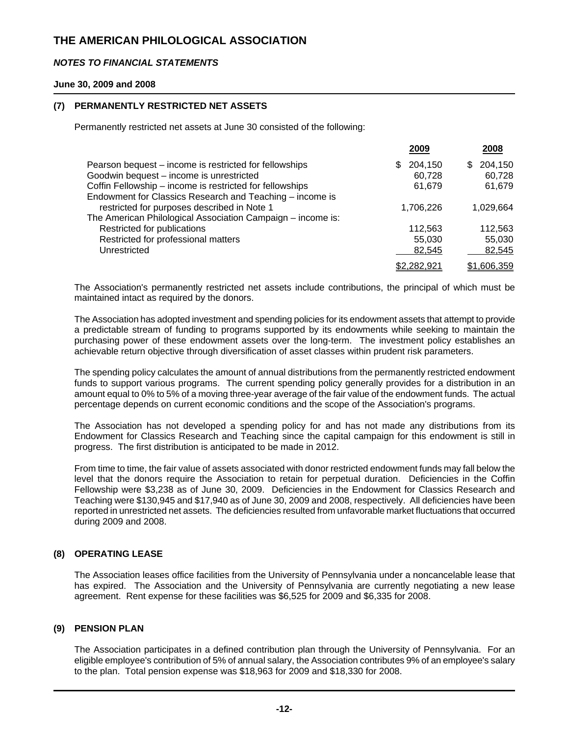### *NOTES TO FINANCIAL STATEMENTS*

#### **June 30, 2009 and 2008**

### **(7) PERMANENTLY RESTRICTED NET ASSETS**

Permanently restricted net assets at June 30 consisted of the following:

|                | 2008           |
|----------------|----------------|
| 204,150<br>\$. | 204,150<br>\$. |
| 60,728         | 60,728         |
| 61,679         | 61,679         |
|                |                |
| 1,706,226      | 1.029.664      |
|                |                |
| 112,563        | 112,563        |
| 55,030         | 55,030         |
| 82,545         | 82,545         |
| \$2,282,921    | \$1,606,359    |
|                | 2009           |

The Association's permanently restricted net assets include contributions, the principal of which must be maintained intact as required by the donors.

The Association has adopted investment and spending policies for its endowment assets that attempt to provide a predictable stream of funding to programs supported by its endowments while seeking to maintain the purchasing power of these endowment assets over the long-term. The investment policy establishes an achievable return objective through diversification of asset classes within prudent risk parameters.

The spending policy calculates the amount of annual distributions from the permanently restricted endowment funds to support various programs. The current spending policy generally provides for a distribution in an amount equal to 0% to 5% of a moving three-year average of the fair value of the endowment funds. The actual percentage depends on current economic conditions and the scope of the Association's programs.

The Association has not developed a spending policy for and has not made any distributions from its Endowment for Classics Research and Teaching since the capital campaign for this endowment is still in progress. The first distribution is anticipated to be made in 2012.

From time to time, the fair value of assets associated with donor restricted endowment funds may fall below the level that the donors require the Association to retain for perpetual duration. Deficiencies in the Coffin Fellowship were \$3,238 as of June 30, 2009. Deficiencies in the Endowment for Classics Research and Teaching were \$130,945 and \$17,940 as of June 30, 2009 and 2008, respectively. All deficiencies have been reported in unrestricted net assets. The deficiencies resulted from unfavorable market fluctuations that occurred during 2009 and 2008.

### **(8) OPERATING LEASE**

The Association leases office facilities from the University of Pennsylvania under a noncancelable lease that has expired. The Association and the University of Pennsylvania are currently negotiating a new lease agreement. Rent expense for these facilities was \$6,525 for 2009 and \$6,335 for 2008.

### **(9) PENSION PLAN**

The Association participates in a defined contribution plan through the University of Pennsylvania. For an eligible employee's contribution of 5% of annual salary, the Association contributes 9% of an employee's salary to the plan. Total pension expense was \$18,963 for 2009 and \$18,330 for 2008.